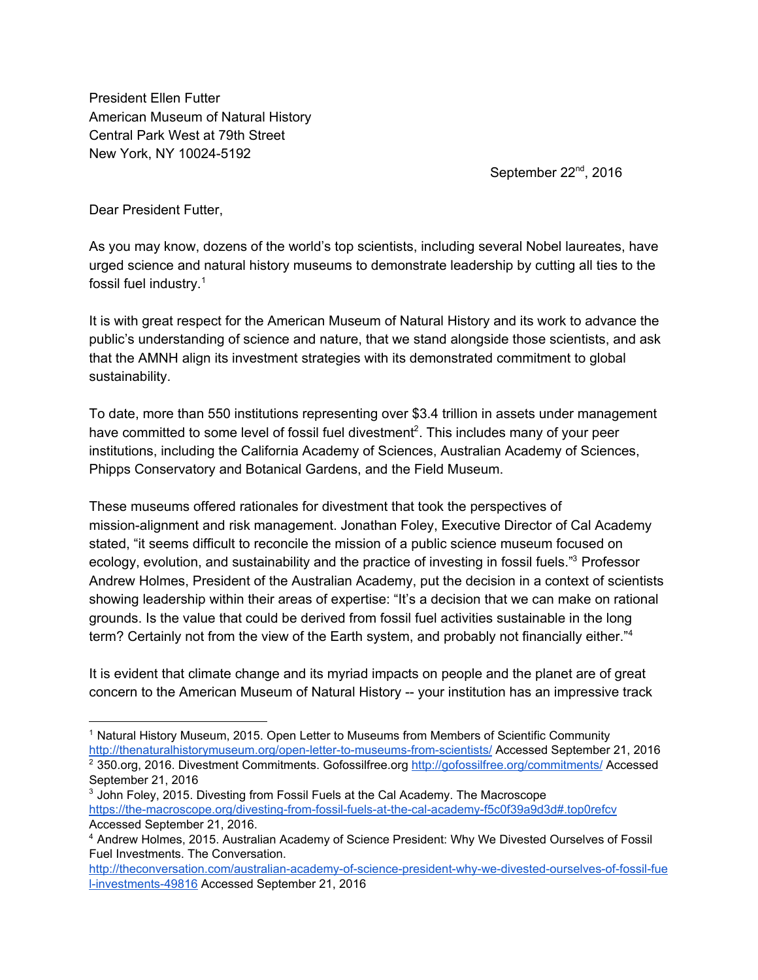President Ellen Futter American Museum of Natural History Central Park West at 79th Street New York, NY 10024-5192

September 22<sup>nd</sup>, 2016

Dear President Futter,

As you may know, dozens of the world's top scientists, including several Nobel laureates, have urged science and natural history museums to demonstrate leadership by cutting all ties to the fossil fuel industry.<sup>1</sup>

It is with great respect for the American Museum of Natural History and its work to advance the public's understanding of science and nature, that we stand alongside those scientists, and ask that the AMNH align its investment strategies with its demonstrated commitment to global sustainability.

To date, more than 550 institutions representing over \$3.4 trillion in assets under management have committed to some level of fossil fuel divestment<sup>2</sup>. This includes many of your peer institutions, including the California Academy of Sciences, Australian Academy of Sciences, Phipps Conservatory and Botanical Gardens, and the Field Museum.

These museums offered rationales for divestment that took the perspectives of mission-alignment and risk management. Jonathan Foley, Executive Director of Cal Academy stated, "it seems difficult to reconcile the mission of a public science museum focused on ecology, evolution, and sustainability and the practice of investing in fossil fuels."<sup>3</sup> Professor Andrew Holmes, President of the Australian Academy, put the decision in a context of scientists showing leadership within their areas of expertise: "It's a decision that we can make on rational grounds. Is the value that could be derived from fossil fuel activities sustainable in the long term? Certainly not from the view of the Earth system, and probably not financially either."<sup>4</sup>

It is evident that climate change and its myriad impacts on people and the planet are of great concern to the American Museum of Natural History -- your institution has an impressive track

<sup>&</sup>lt;sup>1</sup> Natural History Museum, 2015. Open Letter to Museums from Members of Scientific Community <http://thenaturalhistorymuseum.org/open-letter-to-museums-from-scientists/>Accessed September 21, 2016

<sup>&</sup>lt;sup>2</sup> 350.org, 2016. Divestment Commitments. Gofossilfree.org<http://gofossilfree.org/commitments/>Accessed September 21, 2016

<sup>&</sup>lt;sup>3</sup> John Foley, 2015. Divesting from Fossil Fuels at the Cal Academy. The Macroscope <https://the-macroscope.org/divesting-from-fossil-fuels-at-the-cal-academy-f5c0f39a9d3d#.top0refcv> Accessed September 21, 2016.

<sup>4</sup> Andrew Holmes, 2015. Australian Academy of Science President: Why We Divested Ourselves of Fossil Fuel Investments. The Conversation.

[http://theconversation.com/australian-academy-of-science-president-why-we-divested-ourselves-of-fossil-fue](http://theconversation.com/australian-academy-of-science-president-why-we-divested-ourselves-of-fossil-fuel-investments-49816) [l-investments-49816](http://theconversation.com/australian-academy-of-science-president-why-we-divested-ourselves-of-fossil-fuel-investments-49816) Accessed September 21, 2016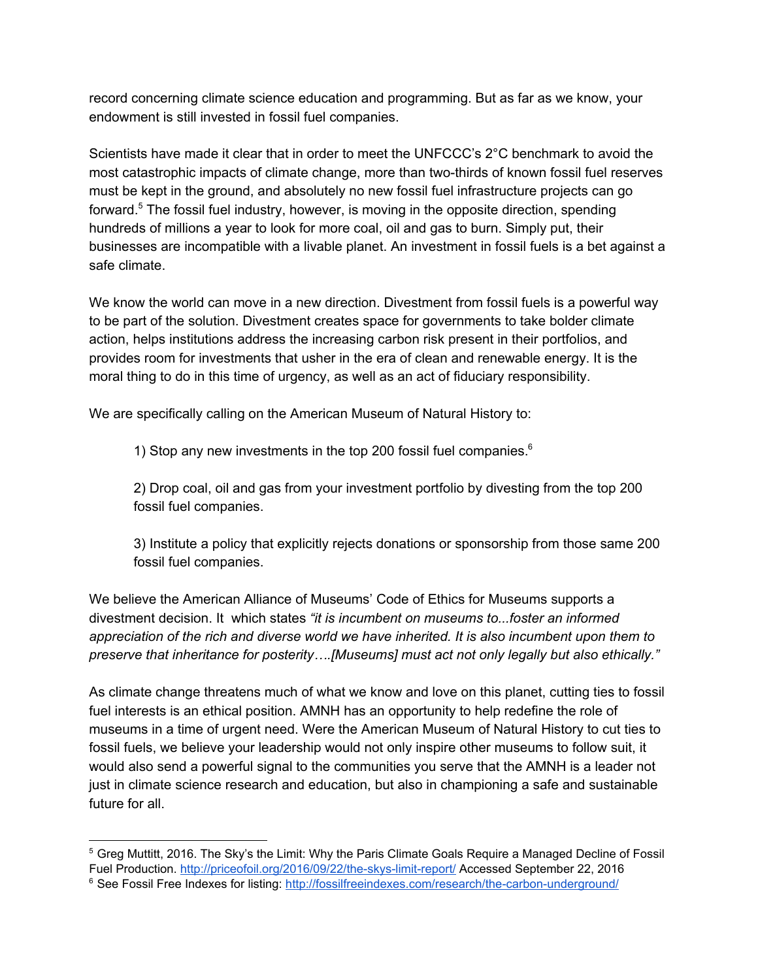record concerning climate science education and programming. But as far as we know, your endowment is still invested in fossil fuel companies.

Scientists have made it clear that in order to meet the UNFCCC's 2°C benchmark to avoid the most catastrophic impacts of climate change, more than two-thirds of known fossil fuel reserves must be kept in the ground, and absolutely no new fossil fuel infrastructure projects can go forward.<sup>5</sup> The fossil fuel industry, however, is moving in the opposite direction, spending hundreds of millions a year to look for more coal, oil and gas to burn. Simply put, their businesses are incompatible with a livable planet. An investment in fossil fuels is a bet against a safe climate.

We know the world can move in a new direction. Divestment from fossil fuels is a powerful way to be part of the solution. Divestment creates space for governments to take bolder climate action, helps institutions address the increasing carbon risk present in their portfolios, and provides room for investments that usher in the era of clean and renewable energy. It is the moral thing to do in this time of urgency, as well as an act of fiduciary responsibility.

We are specifically calling on the American Museum of Natural History to:

1) Stop any new investments in the top 200 fossil fuel companies.<sup>6</sup>

2) Drop coal, oil and gas from your investment portfolio by divesting from the top 200 fossil fuel companies.

3) Institute a policy that explicitly rejects donations or sponsorship from those same 200 fossil fuel companies.

We believe the American Alliance of Museums' Code of Ethics for Museums supports a divestment decision. It which states *"it is incumbent on museums to...foster an informed appreciation of the rich and diverse world we have inherited. It is also incumbent upon them to preserve that inheritance for posterity….[Museums] must act not only legally but also ethically."*

As climate change threatens much of what we know and love on this planet, cutting ties to fossil fuel interests is an ethical position. AMNH has an opportunity to help redefine the role of museums in a time of urgent need. Were the American Museum of Natural History to cut ties to fossil fuels, we believe your leadership would not only inspire other museums to follow suit, it would also send a powerful signal to the communities you serve that the AMNH is a leader not just in climate science research and education, but also in championing a safe and sustainable future for all.

<sup>5</sup> Greg Muttitt, 2016. The Sky's the Limit: Why the Paris Climate Goals Require a Managed Decline of Fossil Fuel Production. <http://priceofoil.org/2016/09/22/the-skys-limit-report/>Accessed September 22, 2016 <sup>6</sup> See Fossil Free Indexes for listing:<http://fossilfreeindexes.com/research/the-carbon-underground/>